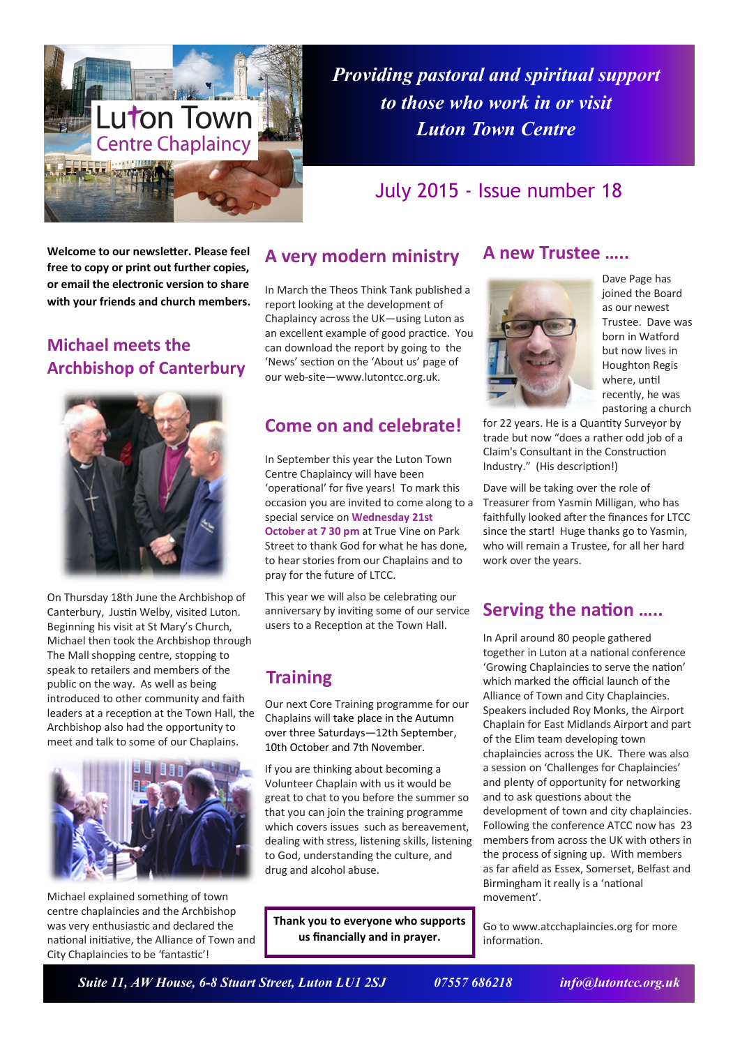

*Providing pastoral and spiritual support to those who work in or visit Luton Town Centre*

# July 2015 - Issue number 18

**Welcome to our newsletter. Please feel free to copy or print out further copies, or email the electronic version to share with your friends and church members.**

# **Michael meets the Archbishop of Canterbury**



On Thursday 18th June the Archbishop of Canterbury, Justin Welby, visited Luton. Beginning his visit at St Mary's Church, Michael then took the Archbishop through The Mall shopping centre, stopping to speak to retailers and members of the public on the way. As well as being introduced to other community and faith leaders at a reception at the Town Hall, the Archbishop also had the opportunity to meet and talk to some of our Chaplains.



Michael explained something of town centre chaplaincies and the Archbishop was very enthusiastic and declared the national initiative, the Alliance of Town and City Chaplaincies to be 'fantastic'!

### **A very modern ministry**

In March the Theos Think Tank published a report looking at the development of Chaplaincy across the UK—using Luton as an excellent example of good practice. You can download the report by going to the 'News' section on the 'About us' page of our web-site—www.lutontcc.org.uk.

#### **Come on and celebrate!**

In September this year the Luton Town Centre Chaplaincy will have been 'operational' for five years! To mark this occasion you are invited to come along to a special service on **Wednesday 21st October at 7 30 pm** at True Vine on Park Street to thank God for what he has done, to hear stories from our Chaplains and to pray for the future of LTCC.

This year we will also be celebrating our anniversary by inviting some of our service users to a Reception at the Town Hall.

# **Training**

Our next Core Training programme for our Chaplains will take place in the Autumn over three Saturdays—12th September, 10th October and 7th November.

If you are thinking about becoming a Volunteer Chaplain with us it would be great to chat to you before the summer so that you can join the training programme which covers issues such as bereavement. dealing with stress, listening skills, listening to God, understanding the culture, and drug and alcohol abuse.

**Thank you to everyone who supports us financially and in prayer.**

#### **A new Trustee …..**



Dave Page has joined the Board as our newest Trustee. Dave was born in Watford but now lives in Houghton Regis where, until recently, he was pastoring a church

for 22 years. He is a Quantity Surveyor by trade but now "does a rather odd job of a Claim's Consultant in the Construction Industry." (His description!)

Dave will be taking over the role of Treasurer from Yasmin Milligan, who has faithfully looked after the finances for LTCC since the start! Huge thanks go to Yasmin, who will remain a Trustee, for all her hard work over the years.

## **Serving the nation …..**

In April around 80 people gathered together in Luton at a national conference 'Growing Chaplaincies to serve the nation' which marked the official launch of the Alliance of Town and City Chaplaincies. Speakers included Roy Monks, the Airport Chaplain for East Midlands Airport and part of the Elim team developing town chaplaincies across the UK. There was also a session on 'Challenges for Chaplaincies' and plenty of opportunity for networking and to ask questions about the development of town and city chaplaincies. Following the conference ATCC now has 23 members from across the UK with others in the process of signing up. With members as far afield as Essex, Somerset, Belfast and Birmingham it really is a 'national movement'.

Go to www.atcchaplaincies.org for more information.

 *Suite 11, AW House, 6-8 Stuart Street, Luton LU1 2SJ 07557 686218 info@lutontcc.org.uk*